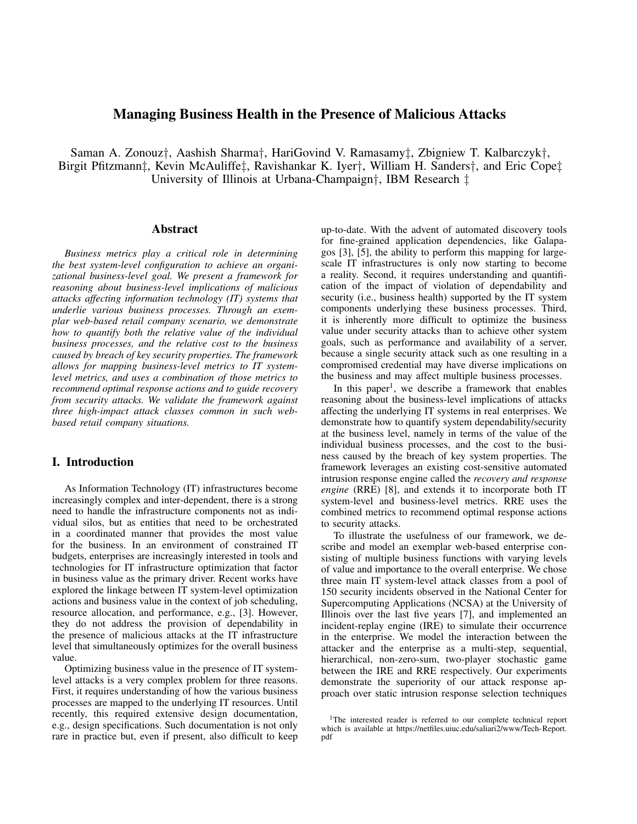# Managing Business Health in the Presence of Malicious Attacks

Saman A. Zonouz*†*, Aashish Sharma*†*, HariGovind V. Ramasamy*‡*, Zbigniew T. Kalbarczyk*†*, Birgit Pfitzmann*‡*, Kevin McAuliffe*‡*, Ravishankar K. Iyer*†*, William H. Sanders*†*, and Eric Cope*‡* University of Illinois at Urbana-Champaign*†*, IBM Research *‡*

### Abstract

*Business metrics play a critical role in determining the best system-level configuration to achieve an organizational business-level goal. We present a framework for reasoning about business-level implications of malicious attacks affecting information technology (IT) systems that underlie various business processes. Through an exemplar web-based retail company scenario, we demonstrate how to quantify both the relative value of the individual business processes, and the relative cost to the business caused by breach of key security properties. The framework allows for mapping business-level metrics to IT systemlevel metrics, and uses a combination of those metrics to recommend optimal response actions and to guide recovery from security attacks. We validate the framework against three high-impact attack classes common in such webbased retail company situations.*

# I. Introduction

As Information Technology (IT) infrastructures become increasingly complex and inter-dependent, there is a strong need to handle the infrastructure components not as individual silos, but as entities that need to be orchestrated in a coordinated manner that provides the most value for the business. In an environment of constrained IT budgets, enterprises are increasingly interested in tools and technologies for IT infrastructure optimization that factor in business value as the primary driver. Recent works have explored the linkage between IT system-level optimization actions and business value in the context of job scheduling, resource allocation, and performance, e.g., [3]. However, they do not address the provision of dependability in the presence of malicious attacks at the IT infrastructure level that simultaneously optimizes for the overall business value.

Optimizing business value in the presence of IT systemlevel attacks is a very complex problem for three reasons. First, it requires understanding of how the various business processes are mapped to the underlying IT resources. Until recently, this required extensive design documentation, e.g., design specifications. Such documentation is not only rare in practice but, even if present, also difficult to keep

up-to-date. With the advent of automated discovery tools for fine-grained application dependencies, like Galapagos [3], [5], the ability to perform this mapping for largescale IT infrastructures is only now starting to become a reality. Second, it requires understanding and quantification of the impact of violation of dependability and security (i.e., business health) supported by the IT system components underlying these business processes. Third, it is inherently more difficult to optimize the business value under security attacks than to achieve other system goals, such as performance and availability of a server, because a single security attack such as one resulting in a compromised credential may have diverse implications on the business and may affect multiple business processes.

In this paper<sup>1</sup>, we describe a framework that enables reasoning about the business-level implications of attacks affecting the underlying IT systems in real enterprises. We demonstrate how to quantify system dependability/security at the business level, namely in terms of the value of the individual business processes, and the cost to the business caused by the breach of key system properties. The framework leverages an existing cost-sensitive automated intrusion response engine called the *recovery and response engine* (RRE) [8], and extends it to incorporate both IT system-level and business-level metrics. RRE uses the combined metrics to recommend optimal response actions to security attacks.

To illustrate the usefulness of our framework, we describe and model an exemplar web-based enterprise consisting of multiple business functions with varying levels of value and importance to the overall enterprise. We chose three main IT system-level attack classes from a pool of 150 security incidents observed in the National Center for Supercomputing Applications (NCSA) at the University of Illinois over the last five years [7], and implemented an incident-replay engine (IRE) to simulate their occurrence in the enterprise. We model the interaction between the attacker and the enterprise as a multi-step, sequential, hierarchical, non-zero-sum, two-player stochastic game between the IRE and RRE respectively. Our experiments demonstrate the superiority of our attack response approach over static intrusion response selection techniques

<sup>&</sup>lt;sup>1</sup>The interested reader is referred to our complete technical report which is available at https://netfiles.uiuc.edu/saliari2/www/Tech-Report. pdf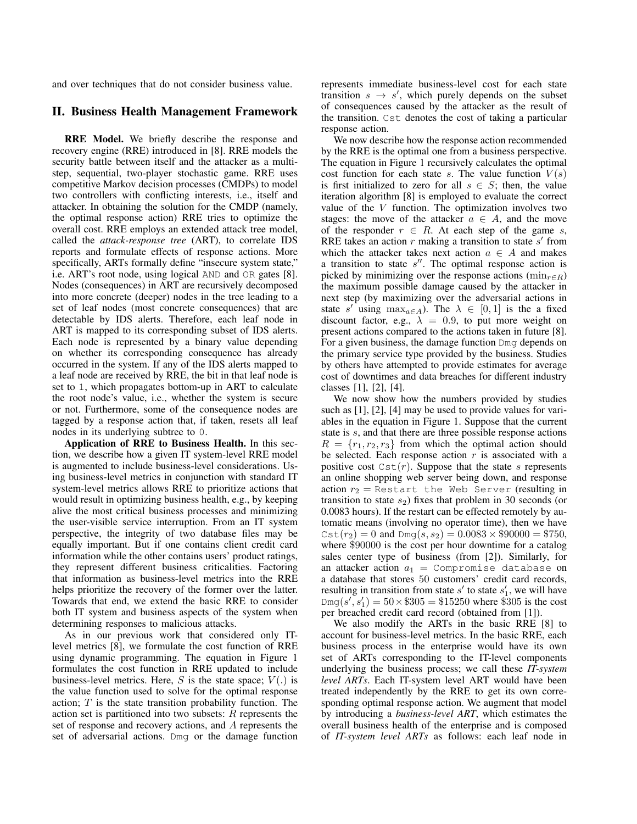and over techniques that do not consider business value.

#### II. Business Health Management Framework

RRE Model. We briefly describe the response and recovery engine (RRE) introduced in [8]. RRE models the security battle between itself and the attacker as a multistep, sequential, two-player stochastic game. RRE uses competitive Markov decision processes (CMDPs) to model two controllers with conflicting interests, i.e., itself and attacker. In obtaining the solution for the CMDP (namely, the optimal response action) RRE tries to optimize the overall cost. RRE employs an extended attack tree model, called the *attack-response tree* (ART), to correlate IDS reports and formulate effects of response actions. More specifically, ARTs formally define "insecure system state," i.e. ART's root node, using logical AND and OR gates [8]. Nodes (consequences) in ART are recursively decomposed into more concrete (deeper) nodes in the tree leading to a set of leaf nodes (most concrete consequences) that are detectable by IDS alerts. Therefore, each leaf node in ART is mapped to its corresponding subset of IDS alerts. Each node is represented by a binary value depending on whether its corresponding consequence has already occurred in the system. If any of the IDS alerts mapped to a leaf node are received by RRE, the bit in that leaf node is set to 1, which propagates bottom-up in ART to calculate the root node's value, i.e., whether the system is secure or not. Furthermore, some of the consequence nodes are tagged by a response action that, if taken, resets all leaf nodes in its underlying subtree to 0.

Application of RRE to Business Health. In this section, we describe how a given IT system-level RRE model is augmented to include business-level considerations. Using business-level metrics in conjunction with standard IT system-level metrics allows RRE to prioritize actions that would result in optimizing business health, e.g., by keeping alive the most critical business processes and minimizing the user-visible service interruption. From an IT system perspective, the integrity of two database files may be equally important. But if one contains client credit card information while the other contains users' product ratings, they represent different business criticalities. Factoring that information as business-level metrics into the RRE helps prioritize the recovery of the former over the latter. Towards that end, we extend the basic RRE to consider both IT system and business aspects of the system when determining responses to malicious attacks.

As in our previous work that considered only ITlevel metrics [8], we formulate the cost function of RRE using dynamic programming. The equation in Figure 1 formulates the cost function in RRE updated to include business-level metrics. Here,  $S$  is the state space;  $V(.)$  is the value function used to solve for the optimal response action; *T* is the state transition probability function. The action set is partitioned into two subsets: *R* represents the set of response and recovery actions, and *A* represents the set of adversarial actions. Dmg or the damage function

represents immediate business-level cost for each state transition  $s \rightarrow s'$ , which purely depends on the subset of consequences caused by the attacker as the result of the transition. Cst denotes the cost of taking a particular response action.

We now describe how the response action recommended by the RRE is the optimal one from a business perspective. The equation in Figure 1 recursively calculates the optimal cost function for each state *s*. The value function  $V(s)$ is first initialized to zero for all  $s \in S$ ; then, the value iteration algorithm [8] is employed to evaluate the correct value of the *V* function. The optimization involves two stages: the move of the attacker  $a \in A$ , and the move of the responder  $r \in R$ . At each step of the game *s*, RRE takes an action *r* making a transition to state *s ′* from which the attacker takes next action  $a \in A$  and makes a transition to state *s ′′*. The optimal response action is picked by minimizing over the response actions ( $\min_{r \in R}$ ) the maximum possible damage caused by the attacker in next step (by maximizing over the adversarial actions in state *s'* using  $\max_{a \in A}$ ). The  $\lambda \in [0, 1]$  is the a fixed discount factor, e.g.,  $\lambda = 0.9$ , to put more weight on present actions compared to the actions taken in future [8]. For a given business, the damage function Dmg depends on the primary service type provided by the business. Studies by others have attempted to provide estimates for average cost of downtimes and data breaches for different industry classes [1], [2], [4].

We now show how the numbers provided by studies such as [1], [2], [4] may be used to provide values for variables in the equation in Figure 1. Suppose that the current state is *s*, and that there are three possible response actions  $R = \{r_1, r_2, r_3\}$  from which the optimal action should be selected. Each response action *r* is associated with a positive cost  $Cst(r)$ . Suppose that the state *s* represents an online shopping web server being down, and response action  $r_2$  = Restart the Web Server (resulting in transition to state  $s_2$ ) fixes that problem in 30 seconds (or 0.0083 hours). If the restart can be effected remotely by automatic means (involving no operator time), then we have  $Cst(r_2) = 0$  and  $Dmg(s, s_2) = 0.0083 \times $90000 = $750$ , where \$90000 is the cost per hour downtime for a catalog sales center type of business (from [2]). Similarly, for an attacker action  $a_1 =$  Compromise database on a database that stores 50 customers' credit card records, resulting in transition from state  $s'$  to state  $s'_{1}$ , we will have  $\text{Dmg}(s', s'_1) = 50 \times \$305 = \$15250$  where \$305 is the cost per breached credit card record (obtained from [1]).

We also modify the ARTs in the basic RRE [8] to account for business-level metrics. In the basic RRE, each business process in the enterprise would have its own set of ARTs corresponding to the IT-level components underlying the business process; we call these *IT-system level ARTs*. Each IT-system level ART would have been treated independently by the RRE to get its own corresponding optimal response action. We augment that model by introducing a *business-level ART*, which estimates the overall business health of the enterprise and is composed of *IT-system level ARTs* as follows: each leaf node in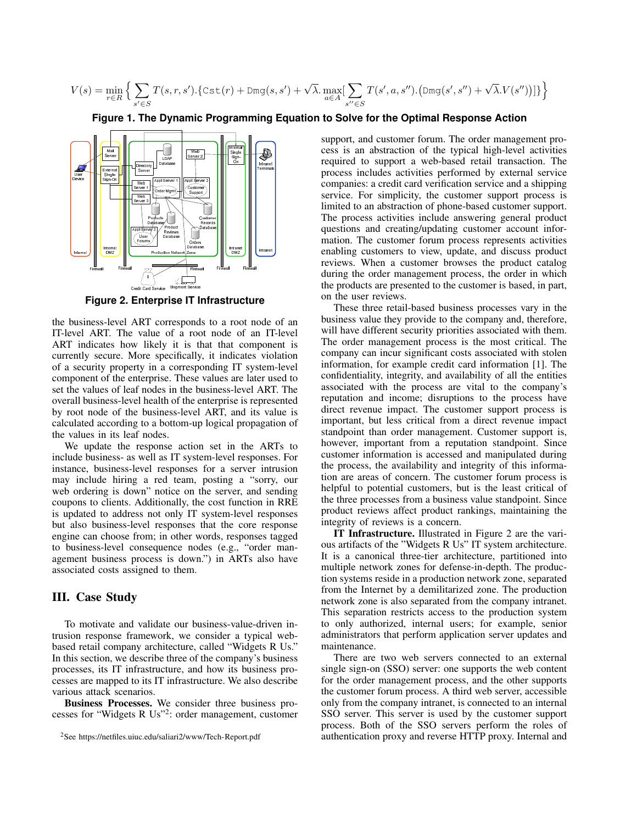$$
V(s) = \min_{r \in R} \Big\{ \sum_{s' \in S} T(s,r,s').\{ \text{Cst}(r) + \text{Dmg}(s,s') + \sqrt{\lambda} .\max_{a \in A} [\sum_{s'' \in S} T(s',a,s'').\big(\text{Dmg}(s',s'') + \sqrt{\lambda} .V(s'')\big)]\} \Big\}
$$

**Figure 1. The Dynamic Programming Equation to Solve for the Optimal Response Action**



**Figure 2. Enterprise IT Infrastructure**

the business-level ART corresponds to a root node of an IT-level ART. The value of a root node of an IT-level ART indicates how likely it is that that component is currently secure. More specifically, it indicates violation of a security property in a corresponding IT system-level component of the enterprise. These values are later used to set the values of leaf nodes in the business-level ART. The overall business-level health of the enterprise is represented by root node of the business-level ART, and its value is calculated according to a bottom-up logical propagation of the values in its leaf nodes.

We update the response action set in the ARTs to include business- as well as IT system-level responses. For instance, business-level responses for a server intrusion may include hiring a red team, posting a "sorry, our web ordering is down" notice on the server, and sending coupons to clients. Additionally, the cost function in RRE is updated to address not only IT system-level responses but also business-level responses that the core response engine can choose from; in other words, responses tagged to business-level consequence nodes (e.g., "order management business process is down.") in ARTs also have associated costs assigned to them.

#### III. Case Study

To motivate and validate our business-value-driven intrusion response framework, we consider a typical webbased retail company architecture, called "Widgets R Us." In this section, we describe three of the company's business processes, its IT infrastructure, and how its business processes are mapped to its IT infrastructure. We also describe various attack scenarios.

Business Processes. We consider three business processes for "Widgets R Us"<sup>2</sup> : order management, customer

support, and customer forum. The order management process is an abstraction of the typical high-level activities required to support a web-based retail transaction. The process includes activities performed by external service companies: a credit card verification service and a shipping service. For simplicity, the customer support process is limited to an abstraction of phone-based customer support. The process activities include answering general product questions and creating/updating customer account information. The customer forum process represents activities enabling customers to view, update, and discuss product reviews. When a customer browses the product catalog during the order management process, the order in which the products are presented to the customer is based, in part, on the user reviews.

These three retail-based business processes vary in the business value they provide to the company and, therefore, will have different security priorities associated with them. The order management process is the most critical. The company can incur significant costs associated with stolen information, for example credit card information [1]. The confidentiality, integrity, and availability of all the entities associated with the process are vital to the company's reputation and income; disruptions to the process have direct revenue impact. The customer support process is important, but less critical from a direct revenue impact standpoint than order management. Customer support is, however, important from a reputation standpoint. Since customer information is accessed and manipulated during the process, the availability and integrity of this information are areas of concern. The customer forum process is helpful to potential customers, but is the least critical of the three processes from a business value standpoint. Since product reviews affect product rankings, maintaining the integrity of reviews is a concern.

IT Infrastructure. Illustrated in Figure 2 are the various artifacts of the "Widgets R Us" IT system architecture. It is a canonical three-tier architecture, partitioned into multiple network zones for defense-in-depth. The production systems reside in a production network zone, separated from the Internet by a demilitarized zone. The production network zone is also separated from the company intranet. This separation restricts access to the production system to only authorized, internal users; for example, senior administrators that perform application server updates and maintenance.

There are two web servers connected to an external single sign-on (SSO) server: one supports the web content for the order management process, and the other supports the customer forum process. A third web server, accessible only from the company intranet, is connected to an internal SSO server. This server is used by the customer support process. Both of the SSO servers perform the roles of authentication proxy and reverse HTTP proxy. Internal and

<sup>2</sup>See https://netfiles.uiuc.edu/saliari2/www/Tech-Report.pdf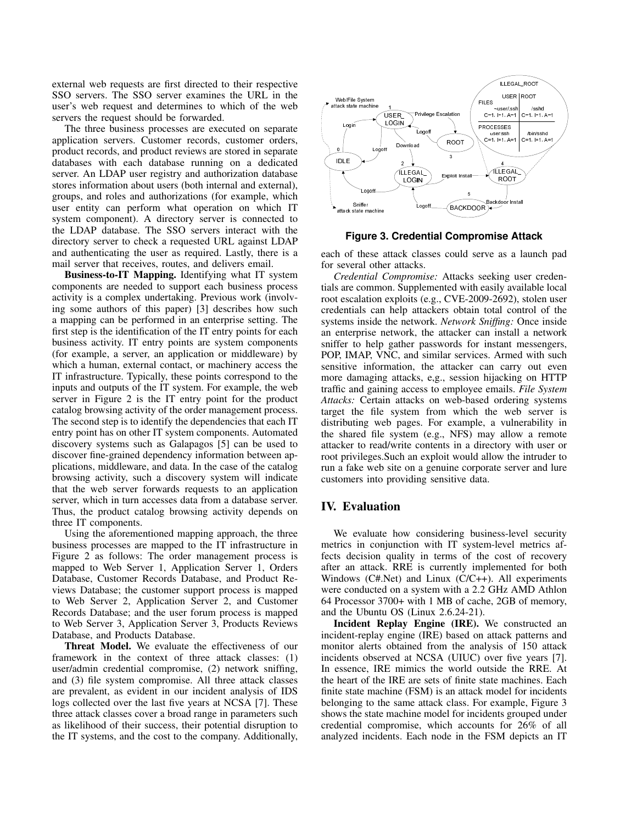external web requests are first directed to their respective SSO servers. The SSO server examines the URL in the user's web request and determines to which of the web servers the request should be forwarded.

The three business processes are executed on separate application servers. Customer records, customer orders, product records, and product reviews are stored in separate databases with each database running on a dedicated server. An LDAP user registry and authorization database stores information about users (both internal and external), groups, and roles and authorizations (for example, which user entity can perform what operation on which IT system component). A directory server is connected to the LDAP database. The SSO servers interact with the directory server to check a requested URL against LDAP and authenticating the user as required. Lastly, there is a mail server that receives, routes, and delivers email.

Business-to-IT Mapping. Identifying what IT system components are needed to support each business process activity is a complex undertaking. Previous work (involving some authors of this paper) [3] describes how such a mapping can be performed in an enterprise setting. The first step is the identification of the IT entry points for each business activity. IT entry points are system components (for example, a server, an application or middleware) by which a human, external contact, or machinery access the IT infrastructure. Typically, these points correspond to the inputs and outputs of the IT system. For example, the web server in Figure 2 is the IT entry point for the product catalog browsing activity of the order management process. The second step is to identify the dependencies that each IT entry point has on other IT system components. Automated discovery systems such as Galapagos [5] can be used to discover fine-grained dependency information between applications, middleware, and data. In the case of the catalog browsing activity, such a discovery system will indicate that the web server forwards requests to an application server, which in turn accesses data from a database server. Thus, the product catalog browsing activity depends on three IT components.

Using the aforementioned mapping approach, the three business processes are mapped to the IT infrastructure in Figure 2 as follows: The order management process is mapped to Web Server 1, Application Server 1, Orders Database, Customer Records Database, and Product Reviews Database; the customer support process is mapped to Web Server 2, Application Server 2, and Customer Records Database; and the user forum process is mapped to Web Server 3, Application Server 3, Products Reviews Database, and Products Database.

Threat Model. We evaluate the effectiveness of our framework in the context of three attack classes: (1) user/admin credential compromise, (2) network sniffing, and (3) file system compromise. All three attack classes are prevalent, as evident in our incident analysis of IDS logs collected over the last five years at NCSA [7]. These three attack classes cover a broad range in parameters such as likelihood of their success, their potential disruption to the IT systems, and the cost to the company. Additionally,



**Figure 3. Credential Compromise Attack**

each of these attack classes could serve as a launch pad for several other attacks.

*Credential Compromise:* Attacks seeking user credentials are common. Supplemented with easily available local root escalation exploits (e.g., CVE-2009-2692), stolen user credentials can help attackers obtain total control of the systems inside the network. *Network Sniffing:* Once inside an enterprise network, the attacker can install a network sniffer to help gather passwords for instant messengers, POP, IMAP, VNC, and similar services. Armed with such sensitive information, the attacker can carry out even more damaging attacks, e,g., session hijacking on HTTP traffic and gaining access to employee emails. *File System Attacks:* Certain attacks on web-based ordering systems target the file system from which the web server is distributing web pages. For example, a vulnerability in the shared file system (e.g., NFS) may allow a remote attacker to read/write contents in a directory with user or root privileges.Such an exploit would allow the intruder to run a fake web site on a genuine corporate server and lure customers into providing sensitive data.

## IV. Evaluation

We evaluate how considering business-level security metrics in conjunction with IT system-level metrics affects decision quality in terms of the cost of recovery after an attack. RRE is currently implemented for both Windows  $(CH.Net)$  and Linux  $(C/C++)$ . All experiments were conducted on a system with a 2.2 GHz AMD Athlon 64 Processor 3700+ with 1 MB of cache, 2GB of memory, and the Ubuntu OS (Linux 2.6.24-21).

Incident Replay Engine (IRE). We constructed an incident-replay engine (IRE) based on attack patterns and monitor alerts obtained from the analysis of 150 attack incidents observed at NCSA (UIUC) over five years [7]. In essence, IRE mimics the world outside the RRE. At the heart of the IRE are sets of finite state machines. Each finite state machine (FSM) is an attack model for incidents belonging to the same attack class. For example, Figure 3 shows the state machine model for incidents grouped under credential compromise, which accounts for 26% of all analyzed incidents. Each node in the FSM depicts an IT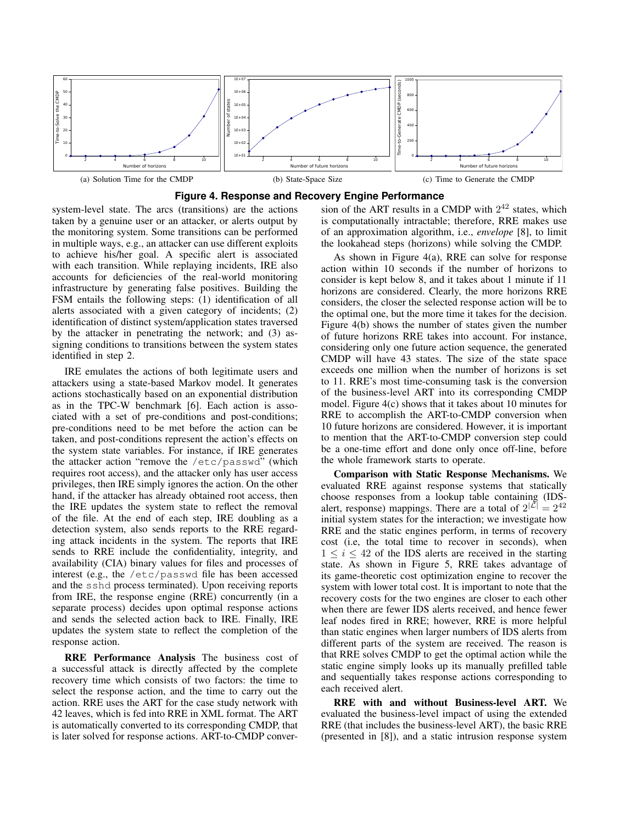

**Figure 4. Response and Recovery Engine Performance**

system-level state. The arcs (transitions) are the actions taken by a genuine user or an attacker, or alerts output by the monitoring system. Some transitions can be performed in multiple ways, e.g., an attacker can use different exploits to achieve his/her goal. A specific alert is associated with each transition. While replaying incidents, IRE also accounts for deficiencies of the real-world monitoring infrastructure by generating false positives. Building the FSM entails the following steps: (1) identification of all alerts associated with a given category of incidents; (2) identification of distinct system/application states traversed by the attacker in penetrating the network; and (3) assigning conditions to transitions between the system states identified in step 2.

IRE emulates the actions of both legitimate users and attackers using a state-based Markov model. It generates actions stochastically based on an exponential distribution as in the TPC-W benchmark [6]. Each action is associated with a set of pre-conditions and post-conditions; pre-conditions need to be met before the action can be taken, and post-conditions represent the action's effects on the system state variables. For instance, if IRE generates the attacker action "remove the /etc/passwd" (which requires root access), and the attacker only has user access privileges, then IRE simply ignores the action. On the other hand, if the attacker has already obtained root access, then the IRE updates the system state to reflect the removal of the file. At the end of each step, IRE doubling as a detection system, also sends reports to the RRE regarding attack incidents in the system. The reports that IRE sends to RRE include the confidentiality, integrity, and availability (CIA) binary values for files and processes of interest (e.g., the /etc/passwd file has been accessed and the sshd process terminated). Upon receiving reports from IRE, the response engine (RRE) concurrently (in a separate process) decides upon optimal response actions and sends the selected action back to IRE. Finally, IRE updates the system state to reflect the completion of the response action.

RRE Performance Analysis The business cost of a successful attack is directly affected by the complete recovery time which consists of two factors: the time to select the response action, and the time to carry out the action. RRE uses the ART for the case study network with 42 leaves, which is fed into RRE in XML format. The ART is automatically converted to its corresponding CMDP, that is later solved for response actions. ART-to-CMDP conver-

sion of the ART results in a CMDP with  $2^{42}$  states, which is computationally intractable; therefore, RRE makes use of an approximation algorithm, i.e., *envelope* [8], to limit the lookahead steps (horizons) while solving the CMDP.

As shown in Figure 4(a), RRE can solve for response action within 10 seconds if the number of horizons to consider is kept below 8, and it takes about 1 minute if 11 horizons are considered. Clearly, the more horizons RRE considers, the closer the selected response action will be to the optimal one, but the more time it takes for the decision. Figure 4(b) shows the number of states given the number of future horizons RRE takes into account. For instance, considering only one future action sequence, the generated CMDP will have 43 states. The size of the state space exceeds one million when the number of horizons is set to 11. RRE's most time-consuming task is the conversion of the business-level ART into its corresponding CMDP model. Figure 4(c) shows that it takes about 10 minutes for RRE to accomplish the ART-to-CMDP conversion when 10 future horizons are considered. However, it is important to mention that the ART-to-CMDP conversion step could be a one-time effort and done only once off-line, before the whole framework starts to operate.

Comparison with Static Response Mechanisms. We evaluated RRE against response systems that statically choose responses from a lookup table containing (IDSalert, response) mappings. There are a total of  $2|\mathcal{L}| = 2^{42}$ initial system states for the interaction; we investigate how RRE and the static engines perform, in terms of recovery cost (i.e, the total time to recover in seconds), when  $1 \leq i \leq 42$  of the IDS alerts are received in the starting state. As shown in Figure 5, RRE takes advantage of its game-theoretic cost optimization engine to recover the system with lower total cost. It is important to note that the recovery costs for the two engines are closer to each other when there are fewer IDS alerts received, and hence fewer leaf nodes fired in RRE; however, RRE is more helpful than static engines when larger numbers of IDS alerts from different parts of the system are received. The reason is that RRE solves CMDP to get the optimal action while the static engine simply looks up its manually prefilled table and sequentially takes response actions corresponding to each received alert.

RRE with and without Business-level ART. We evaluated the business-level impact of using the extended RRE (that includes the business-level ART), the basic RRE (presented in [8]), and a static intrusion response system